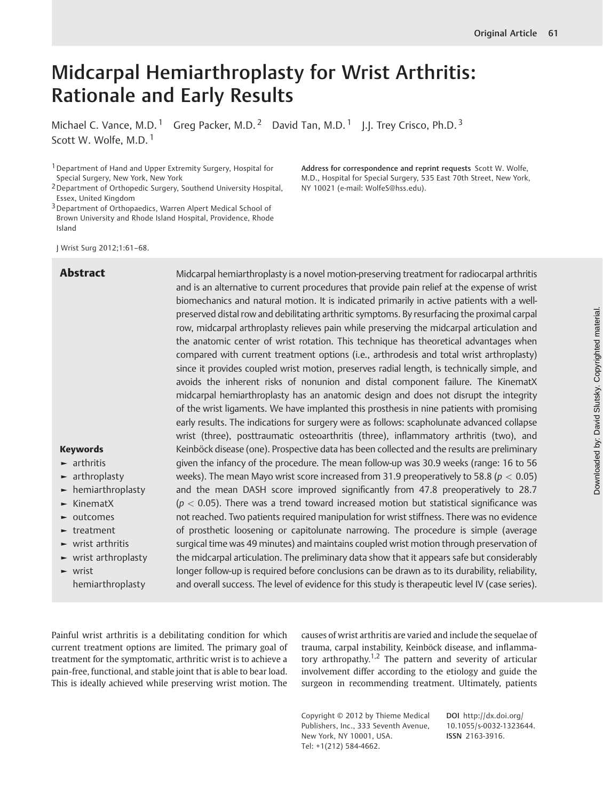# Midcarpal Hemiarthroplasty for Wrist Arthritis: Rationale and Early Results

Michael C. Vance, M.D.<sup>1</sup> Greg Packer, M.D.<sup>2</sup> David Tan, M.D.<sup>1</sup> J.J. Trey Crisco, Ph.D.<sup>3</sup> Scott W. Wolfe, M.D.<sup>1</sup>

1Department of Hand and Upper Extremity Surgery, Hospital for Special Surgery, New York, New York

J Wrist Surg 2012;1:61–68.

Abstract Midcarpal hemiarthroplasty is a novel motion-preserving treatment for radiocarpal arthritis and is an alternative to current procedures that provide pain relief at the expense of wrist biomechanics and natural motion. It is indicated primarily in active patients with a wellpreserved distal row and debilitating arthritic symptoms. By resurfacing the proximal carpal row, midcarpal arthroplasty relieves pain while preserving the midcarpal articulation and the anatomic center of wrist rotation. This technique has theoretical advantages when compared with current treatment options (i.e., arthrodesis and total wrist arthroplasty) since it provides coupled wrist motion, preserves radial length, is technically simple, and avoids the inherent risks of nonunion and distal component failure. The KinematX midcarpal hemiarthroplasty has an anatomic design and does not disrupt the integrity of the wrist ligaments. We have implanted this prosthesis in nine patients with promising early results. The indications for surgery were as follows: scapholunate advanced collapse wrist (three), posttraumatic osteoarthritis (three), inflammatory arthritis (two), and Keinböck disease (one). Prospective data has been collected and the results are preliminary given the infancy of the procedure. The mean follow-up was 30.9 weeks (range: 16 to 56 weeks). The mean Mayo wrist score increased from 31.9 preoperatively to 58.8 ( $p < 0.05$ ) and the mean DASH score improved significantly from 47.8 preoperatively to 28.7  $(p < 0.05)$ . There was a trend toward increased motion but statistical significance was not reached. Two patients required manipulation for wrist stiffness. There was no evidence of prosthetic loosening or capitolunate narrowing. The procedure is simple (average surgical time was 49 minutes) and maintains coupled wrist motion through preservation of the midcarpal articulation. The preliminary data show that it appears safe but considerably longer follow-up is required before conclusions can be drawn as to its durability, reliability, and overall success. The level of evidence for this study is therapeutic level IV (case series).

- ► arthritis
- ► arthroplasty
- ► hemiarthroplasty
- ► KinematX
- ► outcomes
- ► treatment
- ► wrist arthritis
- ► wrist arthroplasty
- ► wrist hemiarthroplasty

Painful wrist arthritis is a debilitating condition for which current treatment options are limited. The primary goal of treatment for the symptomatic, arthritic wrist is to achieve a pain-free, functional, and stable joint that is able to bear load. This is ideally achieved while preserving wrist motion. The

causes of wrist arthritis are varied and include the sequelae of trauma, carpal instability, Keinböck disease, and inflammatory arthropathy.<sup>1,2</sup> The pattern and severity of articular involvement differ according to the etiology and guide the surgeon in recommending treatment. Ultimately, patients

Address for correspondence and reprint requests Scott W. Wolfe, M.D., Hospital for Special Surgery, 535 East 70th Street, New York,

NY 10021 (e-mail: WolfeS@hss.edu).

Copyright © 2012 by Thieme Medical Publishers, Inc., 333 Seventh Avenue, New York, NY 10001, USA. Tel: +1(212) 584-4662.

DOI http://dx.doi.org/ 10.1055/s-0032-1323644. ISSN 2163-3916.

<sup>2</sup>Department of Orthopedic Surgery, Southend University Hospital, Essex, United Kingdom

<sup>&</sup>lt;sup>3</sup> Department of Orthopaedics, Warren Alpert Medical School of Brown University and Rhode Island Hospital, Providence, Rhode Island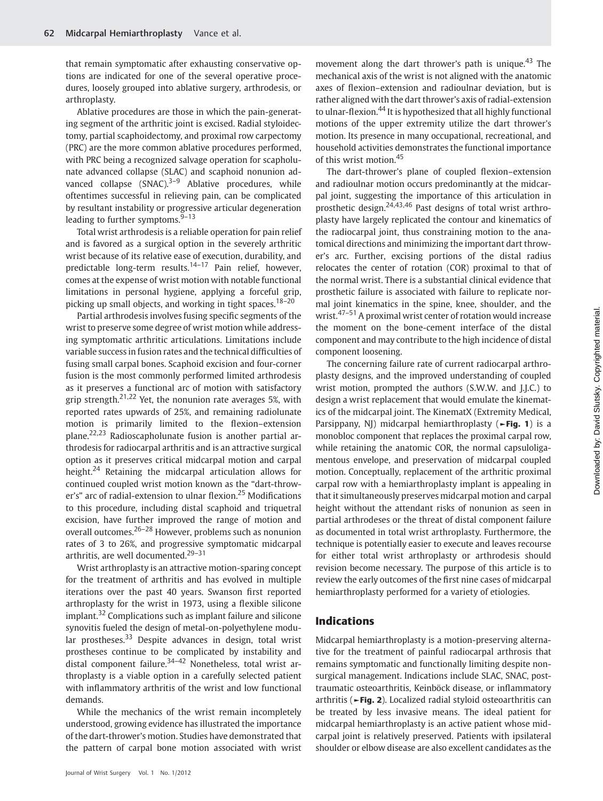that remain symptomatic after exhausting conservative options are indicated for one of the several operative procedures, loosely grouped into ablative surgery, arthrodesis, or arthroplasty.

Ablative procedures are those in which the pain-generating segment of the arthritic joint is excised. Radial styloidectomy, partial scaphoidectomy, and proximal row carpectomy (PRC) are the more common ablative procedures performed, with PRC being a recognized salvage operation for scapholunate advanced collapse (SLAC) and scaphoid nonunion advanced collapse  $(SNAC),^{3-9}$  Ablative procedures, while oftentimes successful in relieving pain, can be complicated by resultant instability or progressive articular degeneration leading to further symptoms. $9-13$ 

Total wrist arthrodesis is a reliable operation for pain relief and is favored as a surgical option in the severely arthritic wrist because of its relative ease of execution, durability, and predictable long-term results.14–<sup>17</sup> Pain relief, however, comes at the expense of wrist motion with notable functional limitations in personal hygiene, applying a forceful grip, picking up small objects, and working in tight spaces.<sup>18-20</sup>

Partial arthrodesis involves fusing specific segments of the wrist to preserve some degree of wrist motion while addressing symptomatic arthritic articulations. Limitations include variable success in fusion rates and the technical difficulties of fusing small carpal bones. Scaphoid excision and four-corner fusion is the most commonly performed limited arthrodesis as it preserves a functional arc of motion with satisfactory grip strength.<sup>21,22</sup> Yet, the nonunion rate averages 5%, with reported rates upwards of 25%, and remaining radiolunate motion is primarily limited to the flexion–extension plane.22,23 Radioscapholunate fusion is another partial arthrodesis for radiocarpal arthritis and is an attractive surgical option as it preserves critical midcarpal motion and carpal height.<sup>24</sup> Retaining the midcarpal articulation allows for continued coupled wrist motion known as the "dart-thrower's" arc of radial-extension to ulnar flexion.<sup>25</sup> Modifications to this procedure, including distal scaphoid and triquetral excision, have further improved the range of motion and overall outcomes.26–<sup>28</sup> However, problems such as nonunion rates of 3 to 26%, and progressive symptomatic midcarpal arthritis, are well documented. $29-31$ 

Wrist arthroplasty is an attractive motion-sparing concept for the treatment of arthritis and has evolved in multiple iterations over the past 40 years. Swanson first reported arthroplasty for the wrist in 1973, using a flexible silicone implant.<sup>32</sup> Complications such as implant failure and silicone synovitis fueled the design of metal-on-polyethylene modular prostheses. $33$  Despite advances in design, total wrist prostheses continue to be complicated by instability and distal component failure.<sup>34-42</sup> Nonetheless, total wrist arthroplasty is a viable option in a carefully selected patient with inflammatory arthritis of the wrist and low functional demands.

While the mechanics of the wrist remain incompletely understood, growing evidence has illustrated the importance of the dart-thrower's motion. Studies have demonstrated that the pattern of carpal bone motion associated with wrist movement along the dart thrower's path is unique.<sup>43</sup> The mechanical axis of the wrist is not aligned with the anatomic axes of flexion–extension and radioulnar deviation, but is rather aligned with the dart thrower's axis of radial-extension to ulnar-flexion.<sup>44</sup> It is hypothesized that all highly functional motions of the upper extremity utilize the dart thrower's motion. Its presence in many occupational, recreational, and household activities demonstrates the functional importance of this wrist motion.<sup>45</sup>

The dart-thrower's plane of coupled flexion–extension and radioulnar motion occurs predominantly at the midcarpal joint, suggesting the importance of this articulation in prosthetic design.<sup>24,43,46</sup> Past designs of total wrist arthroplasty have largely replicated the contour and kinematics of the radiocarpal joint, thus constraining motion to the anatomical directions and minimizing the important dart thrower's arc. Further, excising portions of the distal radius relocates the center of rotation (COR) proximal to that of the normal wrist. There is a substantial clinical evidence that prosthetic failure is associated with failure to replicate normal joint kinematics in the spine, knee, shoulder, and the wrist.<sup>47–51</sup> A proximal wrist center of rotation would increase the moment on the bone-cement interface of the distal component and may contribute to the high incidence of distal component loosening.

The concerning failure rate of current radiocarpal arthroplasty designs, and the improved understanding of coupled wrist motion, prompted the authors (S.W.W. and J.J.C.) to design a wrist replacement that would emulate the kinematics of the midcarpal joint. The KinematX (Extremity Medical, Parsippany, NJ) midcarpal hemiarthroplasty (►Fig. 1) is a monobloc component that replaces the proximal carpal row, while retaining the anatomic COR, the normal capsuloligamentous envelope, and preservation of midcarpal coupled motion. Conceptually, replacement of the arthritic proximal carpal row with a hemiarthroplasty implant is appealing in that it simultaneously preserves midcarpal motion and carpal height without the attendant risks of nonunion as seen in partial arthrodeses or the threat of distal component failure as documented in total wrist arthroplasty. Furthermore, the technique is potentially easier to execute and leaves recourse for either total wrist arthroplasty or arthrodesis should revision become necessary. The purpose of this article is to review the early outcomes of the first nine cases of midcarpal hemiarthroplasty performed for a variety of etiologies.

#### Indications

Midcarpal hemiarthroplasty is a motion-preserving alternative for the treatment of painful radiocarpal arthrosis that remains symptomatic and functionally limiting despite nonsurgical management. Indications include SLAC, SNAC, posttraumatic osteoarthritis, Keinböck disease, or inflammatory arthritis (►Fig. 2). Localized radial styloid osteoarthritis can be treated by less invasive means. The ideal patient for midcarpal hemiarthroplasty is an active patient whose midcarpal joint is relatively preserved. Patients with ipsilateral shoulder or elbow disease are also excellent candidates as the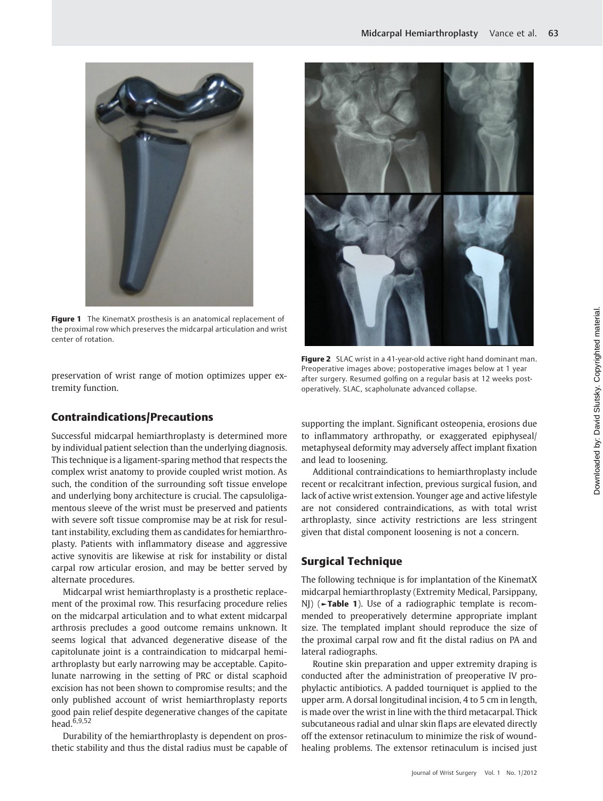

Figure 1 The KinematX prosthesis is an anatomical replacement of the proximal row which preserves the midcarpal articulation and wrist center of rotation.

preservation of wrist range of motion optimizes upper extremity function.

# Contraindications/Precautions

Successful midcarpal hemiarthroplasty is determined more by individual patient selection than the underlying diagnosis. This technique is a ligament-sparing method that respects the complex wrist anatomy to provide coupled wrist motion. As such, the condition of the surrounding soft tissue envelope and underlying bony architecture is crucial. The capsuloligamentous sleeve of the wrist must be preserved and patients with severe soft tissue compromise may be at risk for resultant instability, excluding them as candidates for hemiarthroplasty. Patients with inflammatory disease and aggressive active synovitis are likewise at risk for instability or distal carpal row articular erosion, and may be better served by alternate procedures.

Midcarpal wrist hemiarthroplasty is a prosthetic replacement of the proximal row. This resurfacing procedure relies on the midcarpal articulation and to what extent midcarpal arthrosis precludes a good outcome remains unknown. It seems logical that advanced degenerative disease of the capitolunate joint is a contraindication to midcarpal hemiarthroplasty but early narrowing may be acceptable. Capitolunate narrowing in the setting of PRC or distal scaphoid excision has not been shown to compromise results; and the only published account of wrist hemiarthroplasty reports good pain relief despite degenerative changes of the capitate head.6,9,52

Durability of the hemiarthroplasty is dependent on prosthetic stability and thus the distal radius must be capable of



Figure 2 SLAC wrist in a 41-year-old active right hand dominant man. Preoperative images above; postoperative images below at 1 year after surgery. Resumed golfing on a regular basis at 12 weeks postoperatively. SLAC, scapholunate advanced collapse.

supporting the implant. Significant osteopenia, erosions due to inflammatory arthropathy, or exaggerated epiphyseal/ metaphyseal deformity may adversely affect implant fixation and lead to loosening.

Additional contraindications to hemiarthroplasty include recent or recalcitrant infection, previous surgical fusion, and lack of active wrist extension. Younger age and active lifestyle are not considered contraindications, as with total wrist arthroplasty, since activity restrictions are less stringent given that distal component loosening is not a concern.

# Surgical Technique

The following technique is for implantation of the KinematX midcarpal hemiarthroplasty (Extremity Medical, Parsippany, NJ) (**Fable 1**). Use of a radiographic template is recommended to preoperatively determine appropriate implant size. The templated implant should reproduce the size of the proximal carpal row and fit the distal radius on PA and lateral radiographs.

Routine skin preparation and upper extremity draping is conducted after the administration of preoperative IV prophylactic antibiotics. A padded tourniquet is applied to the upper arm. A dorsal longitudinal incision, 4 to 5 cm in length, is made over the wrist in line with the third metacarpal. Thick subcutaneous radial and ulnar skin flaps are elevated directly off the extensor retinaculum to minimize the risk of woundhealing problems. The extensor retinaculum is incised just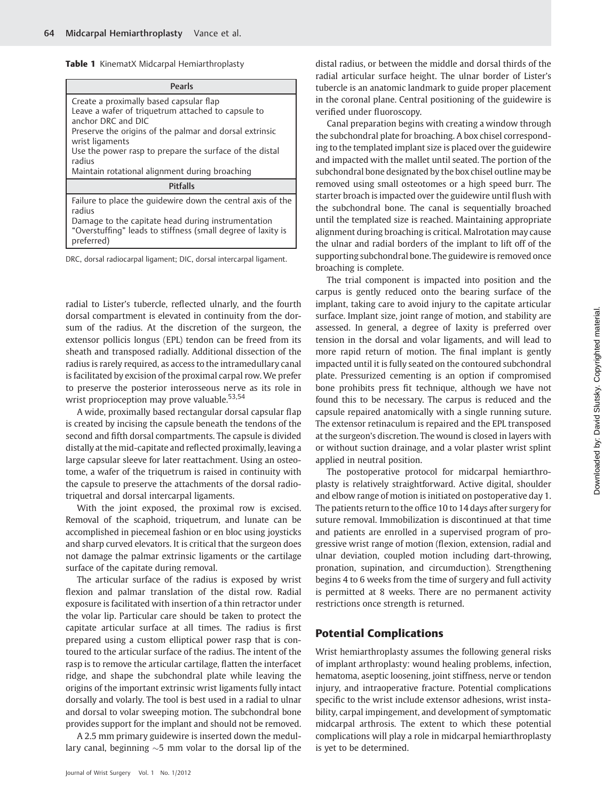Table 1 KinematX Midcarpal Hemiarthroplasty

| Pearls                                                                                                                                                                                                                                                                 |  |  |
|------------------------------------------------------------------------------------------------------------------------------------------------------------------------------------------------------------------------------------------------------------------------|--|--|
| Create a proximally based capsular flap<br>Leave a wafer of triquetrum attached to capsule to<br>anchor DRC and DIC<br>Preserve the origins of the palmar and dorsal extrinsic<br>wrist ligaments<br>Use the power rasp to prepare the surface of the distal<br>radius |  |  |
| Maintain rotational alignment during broaching                                                                                                                                                                                                                         |  |  |
| <b>Pitfalls</b>                                                                                                                                                                                                                                                        |  |  |
| Failure to place the quidewire down the central axis of the<br>radius<br>Damage to the capitate head during instrumentation<br>"Overstuffing" leads to stiffness (small degree of laxity is<br>preferred)                                                              |  |  |

DRC, dorsal radiocarpal ligament; DIC, dorsal intercarpal ligament.

radial to Lister's tubercle, reflected ulnarly, and the fourth dorsal compartment is elevated in continuity from the dorsum of the radius. At the discretion of the surgeon, the extensor pollicis longus (EPL) tendon can be freed from its sheath and transposed radially. Additional dissection of the radius is rarely required, as access to the intramedullary canal is facilitated by excision of the proximal carpal row. We prefer to preserve the posterior interosseous nerve as its role in wrist proprioception may prove valuable.<sup>53,54</sup>

A wide, proximally based rectangular dorsal capsular flap is created by incising the capsule beneath the tendons of the second and fifth dorsal compartments. The capsule is divided distally at the mid-capitate and reflected proximally, leaving a large capsular sleeve for later reattachment. Using an osteotome, a wafer of the triquetrum is raised in continuity with the capsule to preserve the attachments of the dorsal radiotriquetral and dorsal intercarpal ligaments.

With the joint exposed, the proximal row is excised. Removal of the scaphoid, triquetrum, and lunate can be accomplished in piecemeal fashion or en bloc using joysticks and sharp curved elevators. It is critical that the surgeon does not damage the palmar extrinsic ligaments or the cartilage surface of the capitate during removal.

The articular surface of the radius is exposed by wrist flexion and palmar translation of the distal row. Radial exposure is facilitated with insertion of a thin retractor under the volar lip. Particular care should be taken to protect the capitate articular surface at all times. The radius is first prepared using a custom elliptical power rasp that is contoured to the articular surface of the radius. The intent of the rasp is to remove the articular cartilage, flatten the interfacet ridge, and shape the subchondral plate while leaving the origins of the important extrinsic wrist ligaments fully intact dorsally and volarly. The tool is best used in a radial to ulnar and dorsal to volar sweeping motion. The subchondral bone provides support for the implant and should not be removed.

A 2.5 mm primary guidewire is inserted down the medullary canal, beginning  $\sim$ 5 mm volar to the dorsal lip of the distal radius, or between the middle and dorsal thirds of the radial articular surface height. The ulnar border of Lister's tubercle is an anatomic landmark to guide proper placement in the coronal plane. Central positioning of the guidewire is verified under fluoroscopy.

Canal preparation begins with creating a window through the subchondral plate for broaching. A box chisel corresponding to the templated implant size is placed over the guidewire and impacted with the mallet until seated. The portion of the subchondral bone designated by the box chisel outline may be removed using small osteotomes or a high speed burr. The starter broach is impacted over the guidewire until flush with the subchondral bone. The canal is sequentially broached until the templated size is reached. Maintaining appropriate alignment during broaching is critical. Malrotation may cause the ulnar and radial borders of the implant to lift off of the supporting subchondral bone. The guidewire is removed once broaching is complete.

The trial component is impacted into position and the carpus is gently reduced onto the bearing surface of the implant, taking care to avoid injury to the capitate articular surface. Implant size, joint range of motion, and stability are assessed. In general, a degree of laxity is preferred over tension in the dorsal and volar ligaments, and will lead to more rapid return of motion. The final implant is gently impacted until it is fully seated on the contoured subchondral plate. Pressurized cementing is an option if compromised bone prohibits press fit technique, although we have not found this to be necessary. The carpus is reduced and the capsule repaired anatomically with a single running suture. The extensor retinaculum is repaired and the EPL transposed at the surgeon's discretion. The wound is closed in layers with or without suction drainage, and a volar plaster wrist splint applied in neutral position.

The postoperative protocol for midcarpal hemiarthroplasty is relatively straightforward. Active digital, shoulder and elbow range of motion is initiated on postoperative day 1. The patients return to the office 10 to 14 days after surgery for suture removal. Immobilization is discontinued at that time and patients are enrolled in a supervised program of progressive wrist range of motion (flexion, extension, radial and ulnar deviation, coupled motion including dart-throwing, pronation, supination, and circumduction). Strengthening begins 4 to 6 weeks from the time of surgery and full activity is permitted at 8 weeks. There are no permanent activity restrictions once strength is returned.

## Potential Complications

Wrist hemiarthroplasty assumes the following general risks of implant arthroplasty: wound healing problems, infection, hematoma, aseptic loosening, joint stiffness, nerve or tendon injury, and intraoperative fracture. Potential complications specific to the wrist include extensor adhesions, wrist instability, carpal impingement, and development of symptomatic midcarpal arthrosis. The extent to which these potential complications will play a role in midcarpal hemiarthroplasty is yet to be determined.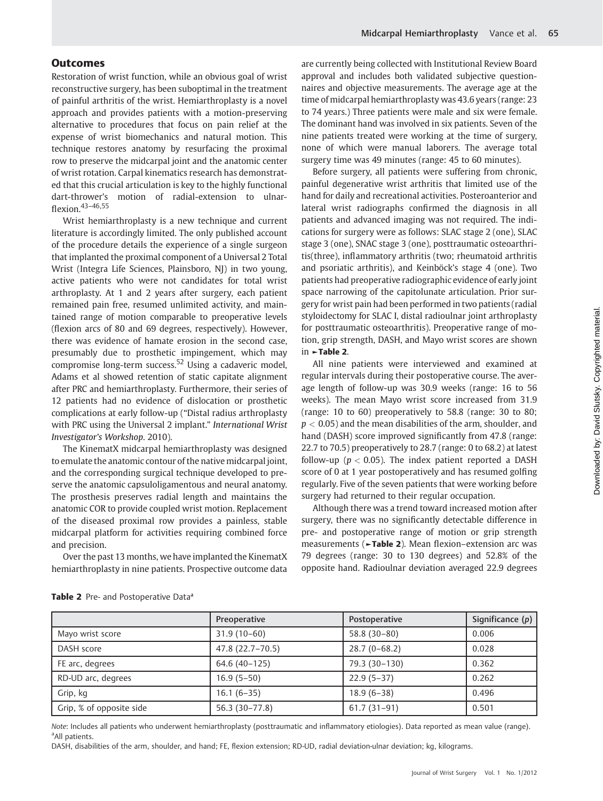### **Outcomes**

Restoration of wrist function, while an obvious goal of wrist reconstructive surgery, has been suboptimal in the treatment of painful arthritis of the wrist. Hemiarthroplasty is a novel approach and provides patients with a motion-preserving alternative to procedures that focus on pain relief at the expense of wrist biomechanics and natural motion. This technique restores anatomy by resurfacing the proximal row to preserve the midcarpal joint and the anatomic center of wrist rotation. Carpal kinematics research has demonstrated that this crucial articulation is key to the highly functional dart-thrower's motion of radial-extension to ulnarflexion.43–46,55

Wrist hemiarthroplasty is a new technique and current literature is accordingly limited. The only published account of the procedure details the experience of a single surgeon that implanted the proximal component of a Universal 2 Total Wrist (Integra Life Sciences, Plainsboro, NJ) in two young, active patients who were not candidates for total wrist arthroplasty. At 1 and 2 years after surgery, each patient remained pain free, resumed unlimited activity, and maintained range of motion comparable to preoperative levels (flexion arcs of 80 and 69 degrees, respectively). However, there was evidence of hamate erosion in the second case, presumably due to prosthetic impingement, which may compromise long-term success.<sup>52</sup> Using a cadaveric model, Adams et al showed retention of static capitate alignment after PRC and hemiarthroplasty. Furthermore, their series of 12 patients had no evidence of dislocation or prosthetic complications at early follow-up ("Distal radius arthroplasty with PRC using the Universal 2 implant." International Wrist Investigator's Workshop. 2010).

The KinematX midcarpal hemiarthroplasty was designed to emulate the anatomic contour of the native midcarpal joint, and the corresponding surgical technique developed to preserve the anatomic capsuloligamentous and neural anatomy. The prosthesis preserves radial length and maintains the anatomic COR to provide coupled wrist motion. Replacement of the diseased proximal row provides a painless, stable midcarpal platform for activities requiring combined force and precision.

Over the past 13 months, we have implanted the KinematX hemiarthroplasty in nine patients. Prospective outcome data are currently being collected with Institutional Review Board approval and includes both validated subjective questionnaires and objective measurements. The average age at the time of midcarpal hemiarthroplasty was 43.6 years (range: 23 to 74 years.) Three patients were male and six were female. The dominant hand was involved in six patients. Seven of the nine patients treated were working at the time of surgery, none of which were manual laborers. The average total surgery time was 49 minutes (range: 45 to 60 minutes).

Before surgery, all patients were suffering from chronic, painful degenerative wrist arthritis that limited use of the hand for daily and recreational activities. Posteroanterior and lateral wrist radiographs confirmed the diagnosis in all patients and advanced imaging was not required. The indications for surgery were as follows: SLAC stage 2 (one), SLAC stage 3 (one), SNAC stage 3 (one), posttraumatic osteoarthritis(three), inflammatory arthritis (two; rheumatoid arthritis and psoriatic arthritis), and Keinböck's stage 4 (one). Two patients had preoperative radiographic evidence of early joint space narrowing of the capitolunate articulation. Prior surgery for wrist pain had been performed in two patients (radial styloidectomy for SLAC I, distal radioulnar joint arthroplasty for posttraumatic osteoarthritis). Preoperative range of motion, grip strength, DASH, and Mayo wrist scores are shown in ►Table 2.

All nine patients were interviewed and examined at regular intervals during their postoperative course. The average length of follow-up was 30.9 weeks (range: 16 to 56 weeks). The mean Mayo wrist score increased from 31.9 (range: 10 to 60) preoperatively to 58.8 (range: 30 to 80;  $p < 0.05$ ) and the mean disabilities of the arm, shoulder, and hand (DASH) score improved significantly from 47.8 (range: 22.7 to 70.5) preoperatively to 28.7 (range: 0 to 68.2) at latest follow-up ( $p < 0.05$ ). The index patient reported a DASH score of 0 at 1 year postoperatively and has resumed golfing regularly. Five of the seven patients that were working before surgery had returned to their regular occupation.

Although there was a trend toward increased motion after surgery, there was no significantly detectable difference in pre- and postoperative range of motion or grip strength measurements (►Table 2). Mean flexion–extension arc was 79 degrees (range: 30 to 130 degrees) and 52.8% of the opposite hand. Radioulnar deviation averaged 22.9 degrees

|                          | Preoperative     | Postoperative  | Significance $(p)$ |
|--------------------------|------------------|----------------|--------------------|
| Mayo wrist score         | $31.9(10-60)$    | $58.8(30-80)$  | 0.006              |
| DASH score               | 47.8 (22.7-70.5) | $28.7(0-68.2)$ | 0.028              |
| FE arc, degrees          | 64.6 (40-125)    | 79.3 (30-130)  | 0.362              |
| RD-UD arc, degrees       | $16.9(5-50)$     | $22.9(5-37)$   | 0.262              |
| Grip, kg                 | $16.1(6-35)$     | $18.9(6-38)$   | 0.496              |
| Grip, % of opposite side | 56.3 (30-77.8)   | $61.7(31-91)$  | 0.501              |

Note: Includes all patients who underwent hemiarthroplasty (posttraumatic and inflammatory etiologies). Data reported as mean value (range). <sup>a</sup>All patients.

DASH, disabilities of the arm, shoulder, and hand; FE, flexion extension; RD-UD, radial deviation-ulnar deviation; kg, kilograms.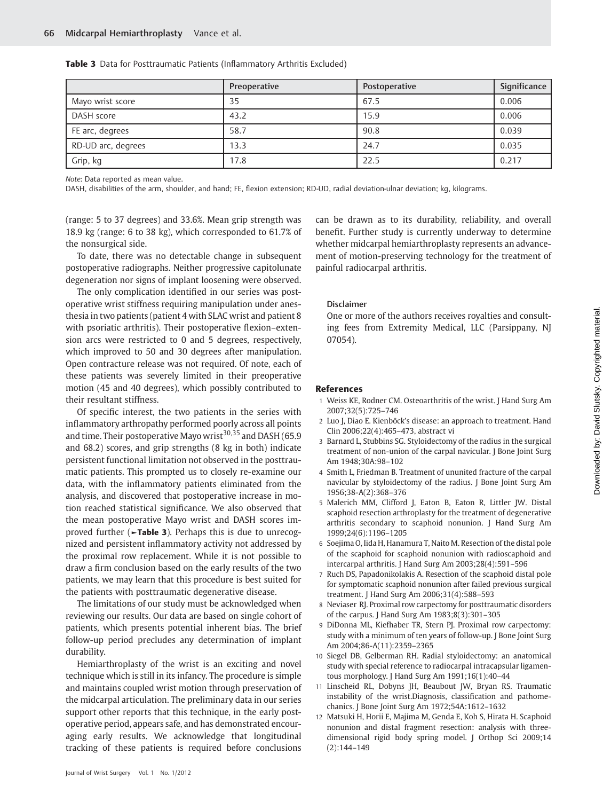|                    | Preoperative | Postoperative | Significance |
|--------------------|--------------|---------------|--------------|
| Mayo wrist score   | 35           | 67.5          | 0.006        |
| DASH score         | 43.2         | 15.9          | 0.006        |
| FE arc, degrees    | 58.7         | 90.8          | 0.039        |
| RD-UD arc, degrees | 13.3         | 24.7          | 0.035        |
| Grip, kg           | 17.8         | 22.5          | 0.217        |

Table 3 Data for Posttraumatic Patients (Inflammatory Arthritis Excluded)

Note: Data reported as mean value.

DASH, disabilities of the arm, shoulder, and hand; FE, flexion extension; RD-UD, radial deviation-ulnar deviation; kg, kilograms.

(range: 5 to 37 degrees) and 33.6%. Mean grip strength was 18.9 kg (range: 6 to 38 kg), which corresponded to 61.7% of the nonsurgical side.

To date, there was no detectable change in subsequent postoperative radiographs. Neither progressive capitolunate degeneration nor signs of implant loosening were observed.

The only complication identified in our series was postoperative wrist stiffness requiring manipulation under anesthesia in two patients (patient 4 with SLAC wrist and patient 8 with psoriatic arthritis). Their postoperative flexion–extension arcs were restricted to 0 and 5 degrees, respectively, which improved to 50 and 30 degrees after manipulation. Open contracture release was not required. Of note, each of these patients was severely limited in their preoperative motion (45 and 40 degrees), which possibly contributed to their resultant stiffness.

Of specific interest, the two patients in the series with inflammatory arthropathy performed poorly across all points and time. Their postoperative Mayo wrist<sup>30,35</sup> and DASH (65.9) and 68.2) scores, and grip strengths (8 kg in both) indicate persistent functional limitation not observed in the posttraumatic patients. This prompted us to closely re-examine our data, with the inflammatory patients eliminated from the analysis, and discovered that postoperative increase in motion reached statistical significance. We also observed that the mean postoperative Mayo wrist and DASH scores improved further (►Table 3). Perhaps this is due to unrecognized and persistent inflammatory activity not addressed by the proximal row replacement. While it is not possible to draw a firm conclusion based on the early results of the two patients, we may learn that this procedure is best suited for the patients with posttraumatic degenerative disease.

The limitations of our study must be acknowledged when reviewing our results. Our data are based on single cohort of patients, which presents potential inherent bias. The brief follow-up period precludes any determination of implant durability.

Hemiarthroplasty of the wrist is an exciting and novel technique which is still in its infancy. The procedure is simple and maintains coupled wrist motion through preservation of the midcarpal articulation. The preliminary data in our series support other reports that this technique, in the early postoperative period, appears safe, and has demonstrated encouraging early results. We acknowledge that longitudinal tracking of these patients is required before conclusions

can be drawn as to its durability, reliability, and overall benefit. Further study is currently underway to determine whether midcarpal hemiarthroplasty represents an advancement of motion-preserving technology for the treatment of painful radiocarpal arthritis.

#### Disclaimer

One or more of the authors receives royalties and consulting fees from Extremity Medical, LLC (Parsippany, NJ 07054).

#### References

- 1 Weiss KE, Rodner CM. Osteoarthritis of the wrist. J Hand Surg Am 2007;32(5):725–746
- 2 Luo J, Diao E. Kienböck's disease: an approach to treatment. Hand Clin 2006;22(4):465–473, abstract vi
- 3 Barnard L, Stubbins SG. Styloidectomy of the radius in the surgical treatment of non-union of the carpal navicular. J Bone Joint Surg Am 1948;30A:98–102
- 4 Smith L, Friedman B. Treatment of ununited fracture of the carpal navicular by styloidectomy of the radius. J Bone Joint Surg Am 1956;38-A(2):368–376
- 5 Malerich MM, Clifford J, Eaton B, Eaton R, Littler JW. Distal scaphoid resection arthroplasty for the treatment of degenerative arthritis secondary to scaphoid nonunion. J Hand Surg Am 1999;24(6):1196–1205
- 6 Soejima O, Iida H, Hanamura T, Naito M. Resection of the distal pole of the scaphoid for scaphoid nonunion with radioscaphoid and intercarpal arthritis. J Hand Surg Am 2003;28(4):591–596
- 7 Ruch DS, Papadonikolakis A. Resection of the scaphoid distal pole for symptomatic scaphoid nonunion after failed previous surgical treatment. J Hand Surg Am 2006;31(4):588–593
- 8 Neviaser RJ. Proximal row carpectomy for posttraumatic disorders of the carpus. J Hand Surg Am 1983;8(3):301–305
- 9 DiDonna ML, Kiefhaber TR, Stern PJ. Proximal row carpectomy: study with a minimum of ten years of follow-up. J Bone Joint Surg Am 2004;86-A(11):2359–2365
- 10 Siegel DB, Gelberman RH. Radial styloidectomy: an anatomical study with special reference to radiocarpal intracapsular ligamentous morphology. J Hand Surg Am 1991;16(1):40–44
- 11 Linscheid RL, Dobyns JH, Beaubout JW, Bryan RS. Traumatic instability of the wrist.Diagnosis, classification and pathomechanics. J Bone Joint Surg Am 1972;54A:1612–1632
- 12 Matsuki H, Horii E, Majima M, Genda E, Koh S, Hirata H. Scaphoid nonunion and distal fragment resection: analysis with threedimensional rigid body spring model. J Orthop Sci 2009;14 (2):144–149